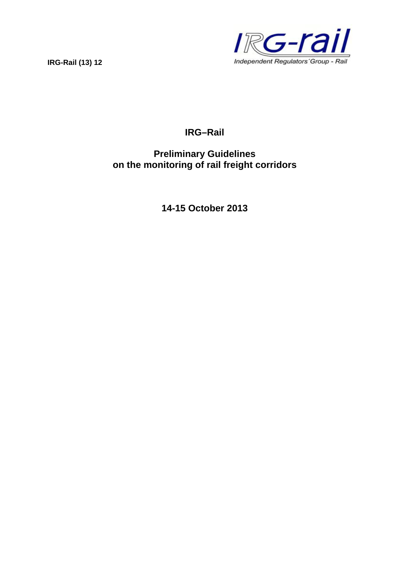

# **IRG–Rail**

# **Preliminary Guidelines on the monitoring of rail freight corridors**

**14-15 October 2013**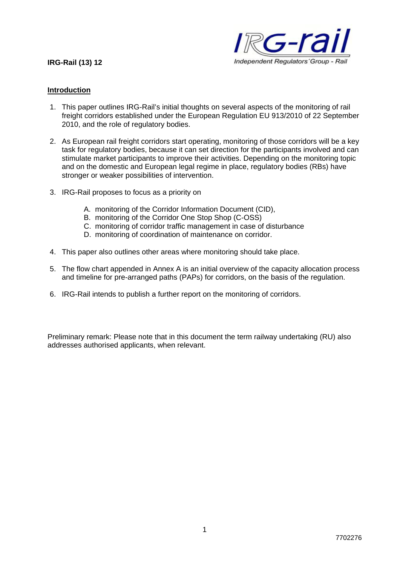

#### **Introduction**

- 1. This paper outlines IRG-Rail's initial thoughts on several aspects of the monitoring of rail freight corridors established under the European Regulation EU 913/2010 of 22 September 2010, and the role of regulatory bodies.
- 2. As European rail freight corridors start operating, monitoring of those corridors will be a key task for regulatory bodies, because it can set direction for the participants involved and can stimulate market participants to improve their activities. Depending on the monitoring topic and on the domestic and European legal regime in place, regulatory bodies (RBs) have stronger or weaker possibilities of intervention.
- 3. IRG-Rail proposes to focus as a priority on
	- A. monitoring of the Corridor Information Document (CID),
	- B. monitoring of the Corridor One Stop Shop (C-OSS)
	- C. monitoring of corridor traffic management in case of disturbance
	- D. monitoring of coordination of maintenance on corridor.
- 4. This paper also outlines other areas where monitoring should take place.
- 5. The flow chart appended in Annex A is an initial overview of the capacity allocation process and timeline for pre-arranged paths (PAPs) for corridors, on the basis of the regulation.
- 6. IRG-Rail intends to publish a further report on the monitoring of corridors.

Preliminary remark: Please note that in this document the term railway undertaking (RU) also addresses authorised applicants, when relevant.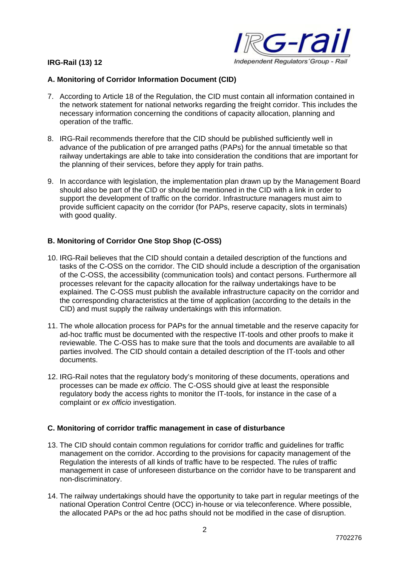

# **A. Monitoring of Corridor Information Document (CID)**

- 7. According to Article 18 of the Regulation, the CID must contain all information contained in the network statement for national networks regarding the freight corridor. This includes the necessary information concerning the conditions of capacity allocation, planning and operation of the traffic.
- 8. IRG-Rail recommends therefore that the CID should be published sufficiently well in advance of the publication of pre arranged paths (PAPs) for the annual timetable so that railway undertakings are able to take into consideration the conditions that are important for the planning of their services, before they apply for train paths.
- 9. In accordance with legislation, the implementation plan drawn up by the Management Board should also be part of the CID or should be mentioned in the CID with a link in order to support the development of traffic on the corridor. Infrastructure managers must aim to provide sufficient capacity on the corridor (for PAPs, reserve capacity, slots in terminals) with good quality.

# **B. Monitoring of Corridor One Stop Shop (C-OSS)**

- 10. IRG-Rail believes that the CID should contain a detailed description of the functions and tasks of the C-OSS on the corridor. The CID should include a description of the organisation of the C-OSS, the accessibility (communication tools) and contact persons. Furthermore all processes relevant for the capacity allocation for the railway undertakings have to be explained. The C-OSS must publish the available infrastructure capacity on the corridor and the corresponding characteristics at the time of application (according to the details in the CID) and must supply the railway undertakings with this information.
- 11. The whole allocation process for PAPs for the annual timetable and the reserve capacity for ad-hoc traffic must be documented with the respective IT-tools and other proofs to make it reviewable. The C-OSS has to make sure that the tools and documents are available to all parties involved. The CID should contain a detailed description of the IT-tools and other documents.
- 12. IRG-Rail notes that the regulatory body's monitoring of these documents, operations and processes can be made *ex officio*. The C-OSS should give at least the responsible regulatory body the access rights to monitor the IT-tools, for instance in the case of a complaint or *ex officio* investigation.

# **C. Monitoring of corridor traffic management in case of disturbance**

- 13. The CID should contain common regulations for corridor traffic and guidelines for traffic management on the corridor. According to the provisions for capacity management of the Regulation the interests of all kinds of traffic have to be respected. The rules of traffic management in case of unforeseen disturbance on the corridor have to be transparent and non-discriminatory.
- 14. The railway undertakings should have the opportunity to take part in regular meetings of the national Operation Control Centre (OCC) in-house or via teleconference. Where possible, the allocated PAPs or the ad hoc paths should not be modified in the case of disruption.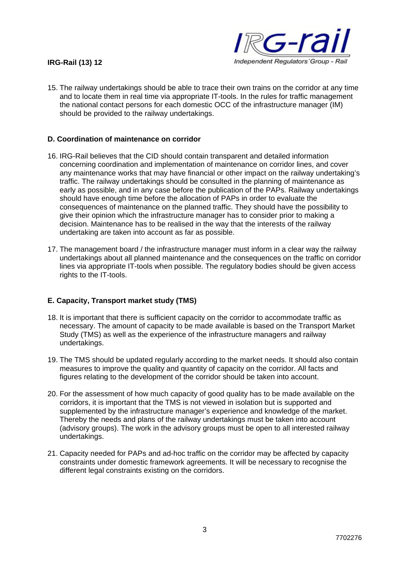

15. The railway undertakings should be able to trace their own trains on the corridor at any time and to locate them in real time via appropriate IT-tools. In the rules for traffic management the national contact persons for each domestic OCC of the infrastructure manager (IM) should be provided to the railway undertakings.

#### **D. Coordination of maintenance on corridor**

- 16. IRG-Rail believes that the CID should contain transparent and detailed information concerning coordination and implementation of maintenance on corridor lines, and cover any maintenance works that may have financial or other impact on the railway undertaking's traffic. The railway undertakings should be consulted in the planning of maintenance as early as possible, and in any case before the publication of the PAPs. Railway undertakings should have enough time before the allocation of PAPs in order to evaluate the consequences of maintenance on the planned traffic. They should have the possibility to give their opinion which the infrastructure manager has to consider prior to making a decision. Maintenance has to be realised in the way that the interests of the railway undertaking are taken into account as far as possible.
- 17. The management board / the infrastructure manager must inform in a clear way the railway undertakings about all planned maintenance and the consequences on the traffic on corridor lines via appropriate IT-tools when possible. The regulatory bodies should be given access rights to the IT-tools.

#### **E. Capacity, Transport market study (TMS)**

- 18. It is important that there is sufficient capacity on the corridor to accommodate traffic as necessary. The amount of capacity to be made available is based on the Transport Market Study (TMS) as well as the experience of the infrastructure managers and railway undertakings.
- 19. The TMS should be updated regularly according to the market needs. It should also contain measures to improve the quality and quantity of capacity on the corridor. All facts and figures relating to the development of the corridor should be taken into account.
- 20. For the assessment of how much capacity of good quality has to be made available on the corridors, it is important that the TMS is not viewed in isolation but is supported and supplemented by the infrastructure manager's experience and knowledge of the market. Thereby the needs and plans of the railway undertakings must be taken into account (advisory groups). The work in the advisory groups must be open to all interested railway undertakings.
- 21. Capacity needed for PAPs and ad-hoc traffic on the corridor may be affected by capacity constraints under domestic framework agreements. It will be necessary to recognise the different legal constraints existing on the corridors.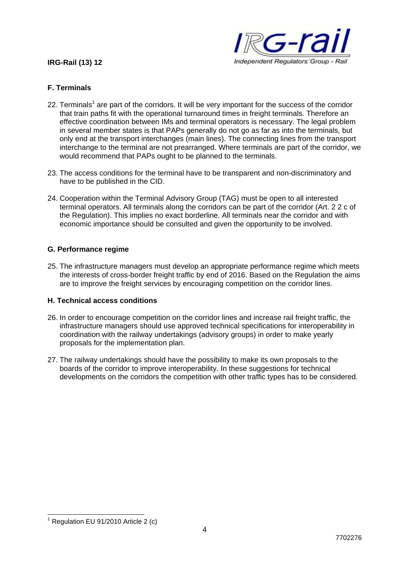

## **F. Terminals**

- 22. Terminals<sup>1</sup> are part of the corridors. It will be very important for the success of the corridor that train paths fit with the operational turnaround times in freight terminals. Therefore an effective coordination between IMs and terminal operators is necessary. The legal problem in several member states is that PAPs generally do not go as far as into the terminals, but only end at the transport interchanges (main lines). The connecting lines from the transport interchange to the terminal are not prearranged. Where terminals are part of the corridor, we would recommend that PAPs ought to be planned to the terminals.
- 23. The access conditions for the terminal have to be transparent and non-discriminatory and have to be published in the CID.
- 24. Cooperation within the Terminal Advisory Group (TAG) must be open to all interested terminal operators. All terminals along the corridors can be part of the corridor (Art. 2 2 c of the Regulation). This implies no exact borderline. All terminals near the corridor and with economic importance should be consulted and given the opportunity to be involved.

### **G. Performance regime**

25. The infrastructure managers must develop an appropriate performance regime which meets the interests of cross-border freight traffic by end of 2016. Based on the Regulation the aims are to improve the freight services by encouraging competition on the corridor lines.

#### **H. Technical access conditions**

- 26. In order to encourage competition on the corridor lines and increase rail freight traffic, the infrastructure managers should use approved technical specifications for interoperability in coordination with the railway undertakings (advisory groups) in order to make yearly proposals for the implementation plan.
- 27. The railway undertakings should have the possibility to make its own proposals to the boards of the corridor to improve interoperability. In these suggestions for technical developments on the corridors the competition with other traffic types has to be considered.

1

4

 $1$  Regulation EU 91/2010 Article 2 (c)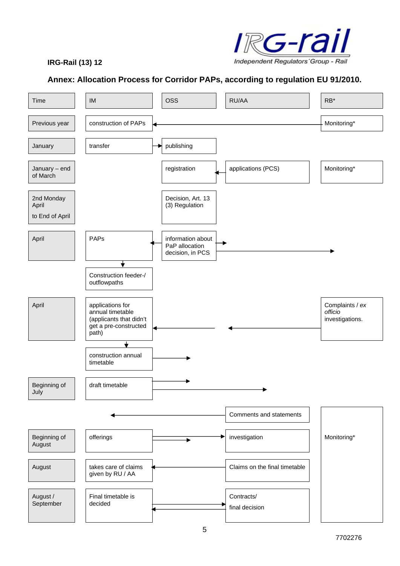

# **Annex: Allocation Process for Corridor PAPs, according to regulation EU 91/2010.**